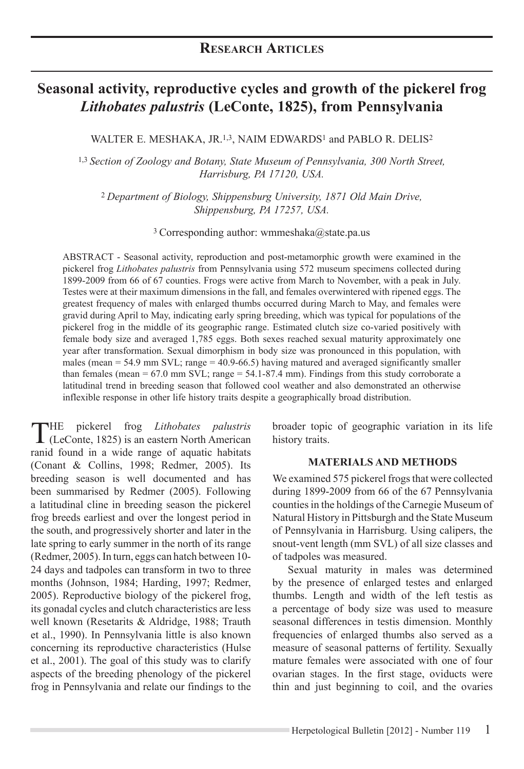# **Seasonal activity, reproductive cycles and growth of the pickerel frog**  *Lithobates palustris* **(LeConte, 1825), from Pennsylvania**

WALTER E. MESHAKA, JR.<sup>1,3</sup>, NAIM EDWARDS<sup>1</sup> and PABLO R. DELIS<sup>2</sup>

1,3 *Section of Zoology and Botany, State Museum of Pennsylvania, 300 North Street, Harrisburg, PA 17120, USA.* 

<sup>2</sup>*Department of Biology, Shippensburg University, 1871 Old Main Drive, Shippensburg, PA 17257, USA.*

<sup>3</sup> Corresponding author: wmmeshaka@state.pa.us

ABSTRACT - Seasonal activity, reproduction and post-metamorphic growth were examined in the pickerel frog *Lithobates palustris* from Pennsylvania using 572 museum specimens collected during 1899-2009 from 66 of 67 counties. Frogs were active from March to November, with a peak in July. Testes were at their maximum dimensions in the fall, and females overwintered with ripened eggs. The greatest frequency of males with enlarged thumbs occurred during March to May, and females were gravid during April to May, indicating early spring breeding, which was typical for populations of the pickerel frog in the middle of its geographic range. Estimated clutch size co-varied positively with female body size and averaged 1,785 eggs. Both sexes reached sexual maturity approximately one year after transformation. Sexual dimorphism in body size was pronounced in this population, with males (mean = 54.9 mm SVL; range = 40.9-66.5) having matured and averaged significantly smaller than females (mean  $= 67.0$  mm SVL; range  $= 54.1 - 87.4$  mm). Findings from this study corroborate a latitudinal trend in breeding season that followed cool weather and also demonstrated an otherwise inflexible response in other life history traits despite a geographically broad distribution.

The pickerel frog *Lithobates palustris* (LeConte, 1825) is an eastern North American ranid found in a wide range of aquatic habitats (Conant & Collins, 1998; Redmer, 2005). Its breeding season is well documented and has been summarised by Redmer (2005). Following a latitudinal cline in breeding season the pickerel frog breeds earliest and over the longest period in the south, and progressively shorter and later in the late spring to early summer in the north of its range (Redmer, 2005). In turn, eggs can hatch between 10- 24 days and tadpoles can transform in two to three months (Johnson, 1984; Harding, 1997; Redmer, 2005). Reproductive biology of the pickerel frog, its gonadal cycles and clutch characteristics are less well known (Resetarits & Aldridge, 1988; Trauth et al., 1990). In Pennsylvania little is also known concerning its reproductive characteristics (Hulse et al., 2001). The goal of this study was to clarify aspects of the breeding phenology of the pickerel frog in Pennsylvania and relate our findings to the

broader topic of geographic variation in its life history traits.

#### **MATERIALS AND METHODS**

We examined 575 pickerel frogs that were collected during 1899-2009 from 66 of the 67 Pennsylvania counties in the holdings of the Carnegie Museum of Natural History in Pittsburgh and the State Museum of Pennsylvania in Harrisburg. Using calipers, the snout-vent length (mm SVL) of all size classes and of tadpoles was measured.

Sexual maturity in males was determined by the presence of enlarged testes and enlarged thumbs. Length and width of the left testis as a percentage of body size was used to measure seasonal differences in testis dimension. Monthly frequencies of enlarged thumbs also served as a measure of seasonal patterns of fertility. Sexually mature females were associated with one of four ovarian stages. In the first stage, oviducts were thin and just beginning to coil, and the ovaries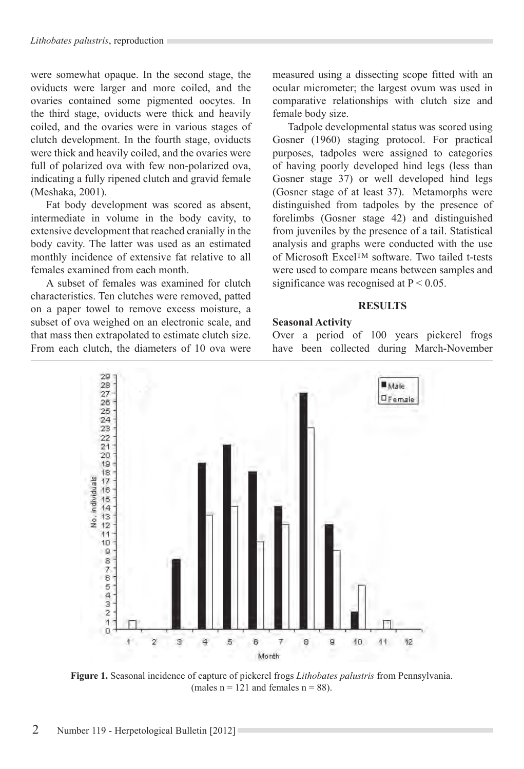were somewhat opaque. In the second stage, the oviducts were larger and more coiled, and the ovaries contained some pigmented oocytes. In the third stage, oviducts were thick and heavily coiled, and the ovaries were in various stages of clutch development. In the fourth stage, oviducts were thick and heavily coiled, and the ovaries were full of polarized ova with few non-polarized ova, indicating a fully ripened clutch and gravid female (Meshaka, 2001).

Fat body development was scored as absent, intermediate in volume in the body cavity, to extensive development that reached cranially in the body cavity. The latter was used as an estimated monthly incidence of extensive fat relative to all females examined from each month.

A subset of females was examined for clutch characteristics. Ten clutches were removed, patted on a paper towel to remove excess moisture, a subset of ova weighed on an electronic scale, and that mass then extrapolated to estimate clutch size. From each clutch, the diameters of 10 ova were measured using a dissecting scope fitted with an ocular micrometer; the largest ovum was used in comparative relationships with clutch size and female body size.

Tadpole developmental status was scored using Gosner (1960) staging protocol. For practical purposes, tadpoles were assigned to categories of having poorly developed hind legs (less than Gosner stage 37) or well developed hind legs (Gosner stage of at least 37). Metamorphs were distinguished from tadpoles by the presence of forelimbs (Gosner stage 42) and distinguished from juveniles by the presence of a tail. Statistical analysis and graphs were conducted with the use of Microsoft ExcelTM software. Two tailed t-tests were used to compare means between samples and significance was recognised at  $P < 0.05$ .

#### **RESULTS**

#### **Seasonal Activity**

Over a period of 100 years pickerel frogs have been collected during March-November



**Figure 1.** Seasonal incidence of capture of pickerel frogs *Lithobates palustris* from Pennsylvania. (males  $n = 121$  and females  $n = 88$ ).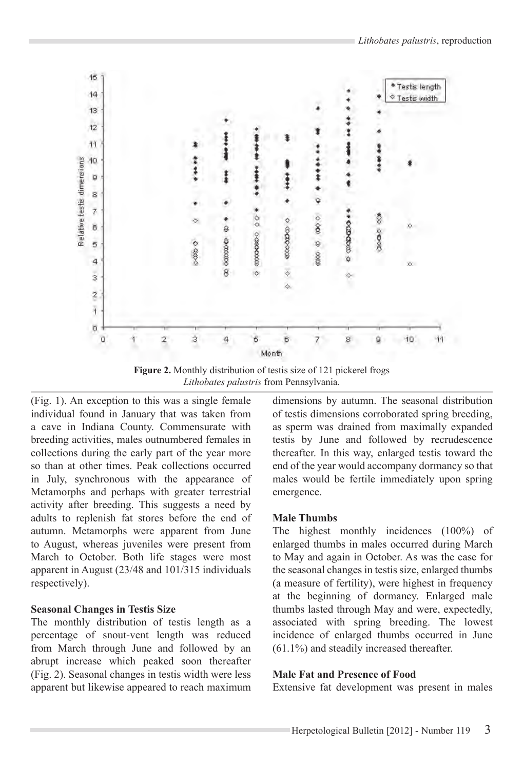

**Figure 2.** Monthly distribution of testis size of 121 pickerel frogs *Lithobates palustris* from Pennsylvania.

(Fig. 1). An exception to this was a single female individual found in January that was taken from a cave in Indiana County. Commensurate with breeding activities, males outnumbered females in collections during the early part of the year more so than at other times. Peak collections occurred in July, synchronous with the appearance of Metamorphs and perhaps with greater terrestrial activity after breeding. This suggests a need by adults to replenish fat stores before the end of autumn. Metamorphs were apparent from June to August, whereas juveniles were present from March to October. Both life stages were most apparent in August (23/48 and 101/315 individuals respectively).

## **Seasonal Changes in Testis Size**

The monthly distribution of testis length as a percentage of snout-vent length was reduced from March through June and followed by an abrupt increase which peaked soon thereafter (Fig. 2). Seasonal changes in testis width were less apparent but likewise appeared to reach maximum dimensions by autumn. The seasonal distribution of testis dimensions corroborated spring breeding, as sperm was drained from maximally expanded testis by June and followed by recrudescence thereafter. In this way, enlarged testis toward the end of the year would accompany dormancy so that males would be fertile immediately upon spring emergence.

# **Male Thumbs**

The highest monthly incidences (100%) of enlarged thumbs in males occurred during March to May and again in October. As was the case for the seasonal changes in testis size, enlarged thumbs (a measure of fertility), were highest in frequency at the beginning of dormancy. Enlarged male thumbs lasted through May and were, expectedly, associated with spring breeding. The lowest incidence of enlarged thumbs occurred in June (61.1%) and steadily increased thereafter.

# **Male Fat and Presence of Food**

Extensive fat development was present in males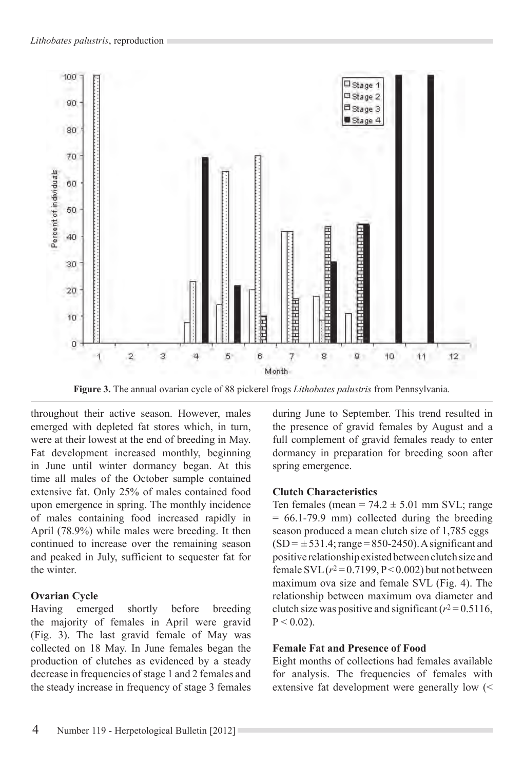

**Figure 3.** The annual ovarian cycle of 88 pickerel frogs *Lithobates palustris* from Pennsylvania.

throughout their active season. However, males emerged with depleted fat stores which, in turn, were at their lowest at the end of breeding in May. Fat development increased monthly, beginning in June until winter dormancy began. At this time all males of the October sample contained extensive fat. Only 25% of males contained food upon emergence in spring. The monthly incidence of males containing food increased rapidly in April (78.9%) while males were breeding. It then continued to increase over the remaining season and peaked in July, sufficient to sequester fat for the winter.

## **Ovarian Cycle**

Having emerged shortly before breeding the majority of females in April were gravid (Fig. 3). The last gravid female of May was collected on 18 May. In June females began the production of clutches as evidenced by a steady decrease in frequencies of stage 1 and 2 females and the steady increase in frequency of stage 3 females during June to September. This trend resulted in the presence of gravid females by August and a full complement of gravid females ready to enter dormancy in preparation for breeding soon after spring emergence.

## **Clutch Characteristics**

Ten females (mean =  $74.2 \pm 5.01$  mm SVL; range  $= 66.1 - 79.9$  mm) collected during the breeding season produced a mean clutch size of 1,785 eggs  $(SD = \pm 531.4$ ; range = 850-2450). A significant and positive relationship existed between clutch size and female  $SVL (r^2 = 0.7199, P < 0.002)$  but not between maximum ova size and female SVL (Fig. 4). The relationship between maximum ova diameter and clutch size was positive and significant  $(r^2 = 0.5116,$  $P < 0.02$ ).

## **Female Fat and Presence of Food**

Eight months of collections had females available for analysis. The frequencies of females with extensive fat development were generally low (<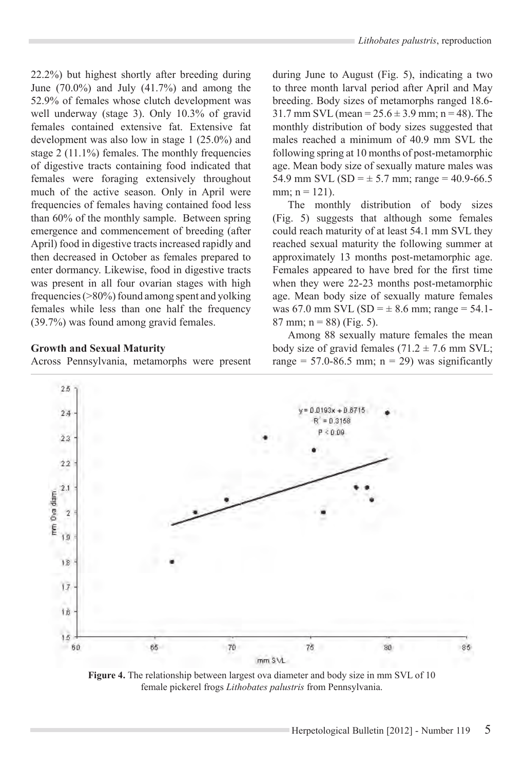22.2%) but highest shortly after breeding during June (70.0%) and July (41.7%) and among the 52.9% of females whose clutch development was well underway (stage 3). Only 10.3% of gravid females contained extensive fat. Extensive fat development was also low in stage 1 (25.0%) and stage 2 (11.1%) females. The monthly frequencies of digestive tracts containing food indicated that females were foraging extensively throughout much of the active season. Only in April were frequencies of females having contained food less than 60% of the monthly sample. Between spring emergence and commencement of breeding (after April) food in digestive tracts increased rapidly and then decreased in October as females prepared to enter dormancy. Likewise, food in digestive tracts was present in all four ovarian stages with high frequencies (>80%) found among spent and yolking females while less than one half the frequency (39.7%) was found among gravid females.

#### **Growth and Sexual Maturity**

Across Pennsylvania, metamorphs were present

during June to August (Fig. 5), indicating a two to three month larval period after April and May breeding. Body sizes of metamorphs ranged 18.6-  $31.7 \text{ mm}$  SVL (mean =  $25.6 \pm 3.9 \text{ mm}$ ; n = 48). The monthly distribution of body sizes suggested that males reached a minimum of 40.9 mm SVL the following spring at 10 months of post-metamorphic age. Mean body size of sexually mature males was 54.9 mm SVL (SD =  $\pm$  5.7 mm; range = 40.9-66.5 mm;  $n = 121$ ).

The monthly distribution of body sizes (Fig. 5) suggests that although some females could reach maturity of at least 54.1 mm SVL they reached sexual maturity the following summer at approximately 13 months post-metamorphic age. Females appeared to have bred for the first time when they were 22-23 months post-metamorphic age. Mean body size of sexually mature females was 67.0 mm SVL (SD =  $\pm$  8.6 mm; range = 54.1-87 mm;  $n = 88$ ) (Fig. 5).

Among 88 sexually mature females the mean body size of gravid females  $(71.2 \pm 7.6 \text{ mm} \text{ SVL})$ ; range =  $57.0-86.5$  mm;  $n = 29$ ) was significantly



**Figure 4.** The relationship between largest ova diameter and body size in mm SVL of 10 female pickerel frogs *Lithobates palustris* from Pennsylvania.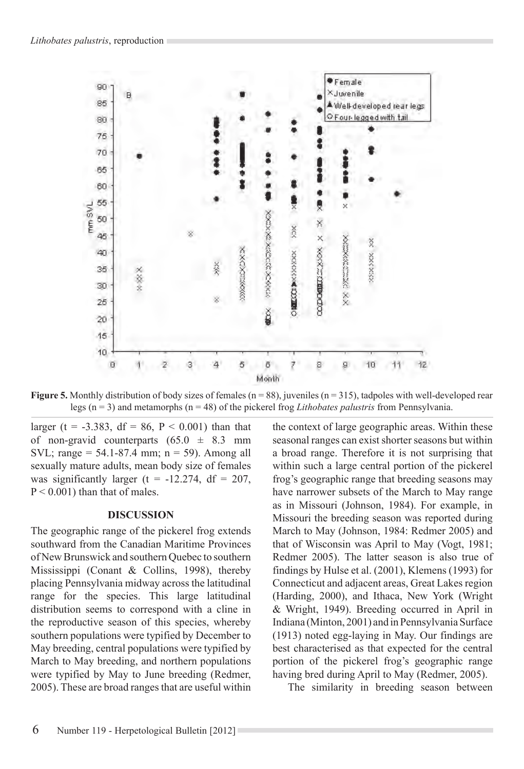

**Figure 5.** Monthly distribution of body sizes of females (n = 88), juveniles (n = 315), tadpoles with well-developed rear legs (n = 3) and metamorphs (n = 48) of the pickerel frog *Lithobates palustris* from Pennsylvania.

larger (t = -3.383, df = 86, P < 0.001) than that of non-gravid counterparts  $(65.0 \pm 8.3 \text{ mm})$ SVL; range =  $54.1 - 87.4$  mm;  $n = 59$ ). Among all sexually mature adults, mean body size of females was significantly larger (t =  $-12.274$ , df = 207,  $P < 0.001$ ) than that of males.

#### **DISCUSSION**

The geographic range of the pickerel frog extends southward from the Canadian Maritime Provinces of New Brunswick and southern Quebec to southern Mississippi (Conant & Collins, 1998), thereby placing Pennsylvania midway across the latitudinal range for the species. This large latitudinal distribution seems to correspond with a cline in the reproductive season of this species, whereby southern populations were typified by December to May breeding, central populations were typified by March to May breeding, and northern populations were typified by May to June breeding (Redmer, 2005). These are broad ranges that are useful within the context of large geographic areas. Within these seasonal ranges can exist shorter seasons but within a broad range. Therefore it is not surprising that within such a large central portion of the pickerel frog's geographic range that breeding seasons may have narrower subsets of the March to May range as in Missouri (Johnson, 1984). For example, in Missouri the breeding season was reported during March to May (Johnson, 1984: Redmer 2005) and that of Wisconsin was April to May (Vogt, 1981; Redmer 2005). The latter season is also true of findings by Hulse et al. (2001), Klemens (1993) for Connecticut and adjacent areas, Great Lakes region (Harding, 2000), and Ithaca, New York (Wright & Wright, 1949). Breeding occurred in April in Indiana (Minton, 2001) and in Pennsylvania Surface (1913) noted egg-laying in May. Our findings are best characterised as that expected for the central portion of the pickerel frog's geographic range having bred during April to May (Redmer, 2005).

The similarity in breeding season between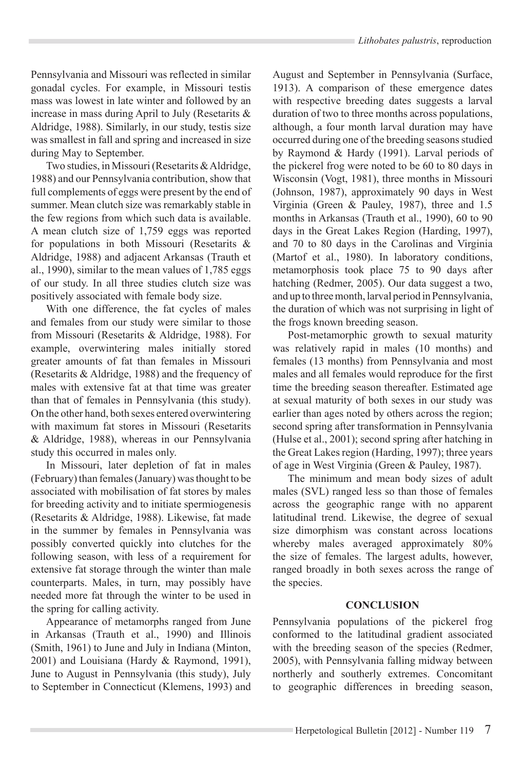Pennsylvania and Missouri was reflected in similar gonadal cycles. For example, in Missouri testis mass was lowest in late winter and followed by an increase in mass during April to July (Resetarits & Aldridge, 1988). Similarly, in our study, testis size was smallest in fall and spring and increased in size during May to September.

Two studies, in Missouri (Resetarits & Aldridge, 1988) and our Pennsylvania contribution, show that full complements of eggs were present by the end of summer. Mean clutch size was remarkably stable in the few regions from which such data is available. A mean clutch size of 1,759 eggs was reported for populations in both Missouri (Resetarits & Aldridge, 1988) and adjacent Arkansas (Trauth et al., 1990), similar to the mean values of 1,785 eggs of our study. In all three studies clutch size was positively associated with female body size.

With one difference, the fat cycles of males and females from our study were similar to those from Missouri (Resetarits & Aldridge, 1988). For example, overwintering males initially stored greater amounts of fat than females in Missouri (Resetarits & Aldridge, 1988) and the frequency of males with extensive fat at that time was greater than that of females in Pennsylvania (this study). On the other hand, both sexes entered overwintering with maximum fat stores in Missouri (Resetarits & Aldridge, 1988), whereas in our Pennsylvania study this occurred in males only.

In Missouri, later depletion of fat in males (February) than females (January) was thought to be associated with mobilisation of fat stores by males for breeding activity and to initiate spermiogenesis (Resetarits & Aldridge, 1988). Likewise, fat made in the summer by females in Pennsylvania was possibly converted quickly into clutches for the following season, with less of a requirement for extensive fat storage through the winter than male counterparts. Males, in turn, may possibly have needed more fat through the winter to be used in the spring for calling activity.

Appearance of metamorphs ranged from June in Arkansas (Trauth et al., 1990) and Illinois (Smith, 1961) to June and July in Indiana (Minton, 2001) and Louisiana (Hardy & Raymond, 1991), June to August in Pennsylvania (this study), July to September in Connecticut (Klemens, 1993) and August and September in Pennsylvania (Surface, 1913). A comparison of these emergence dates with respective breeding dates suggests a larval duration of two to three months across populations, although, a four month larval duration may have occurred during one of the breeding seasons studied by Raymond & Hardy (1991). Larval periods of the pickerel frog were noted to be 60 to 80 days in Wisconsin (Vogt, 1981), three months in Missouri (Johnson, 1987), approximately 90 days in West Virginia (Green & Pauley, 1987), three and 1.5 months in Arkansas (Trauth et al., 1990), 60 to 90 days in the Great Lakes Region (Harding, 1997), and 70 to 80 days in the Carolinas and Virginia (Martof et al., 1980). In laboratory conditions, metamorphosis took place 75 to 90 days after hatching (Redmer, 2005). Our data suggest a two, and up to three month, larval period in Pennsylvania, the duration of which was not surprising in light of the frogs known breeding season.

Post-metamorphic growth to sexual maturity was relatively rapid in males (10 months) and females (13 months) from Pennsylvania and most males and all females would reproduce for the first time the breeding season thereafter. Estimated age at sexual maturity of both sexes in our study was earlier than ages noted by others across the region; second spring after transformation in Pennsylvania (Hulse et al., 2001); second spring after hatching in the Great Lakes region (Harding, 1997); three years of age in West Virginia (Green & Pauley, 1987).

The minimum and mean body sizes of adult males (SVL) ranged less so than those of females across the geographic range with no apparent latitudinal trend. Likewise, the degree of sexual size dimorphism was constant across locations whereby males averaged approximately 80% the size of females. The largest adults, however, ranged broadly in both sexes across the range of the species.

#### **CONCLUSION**

Pennsylvania populations of the pickerel frog conformed to the latitudinal gradient associated with the breeding season of the species (Redmer, 2005), with Pennsylvania falling midway between northerly and southerly extremes. Concomitant to geographic differences in breeding season,